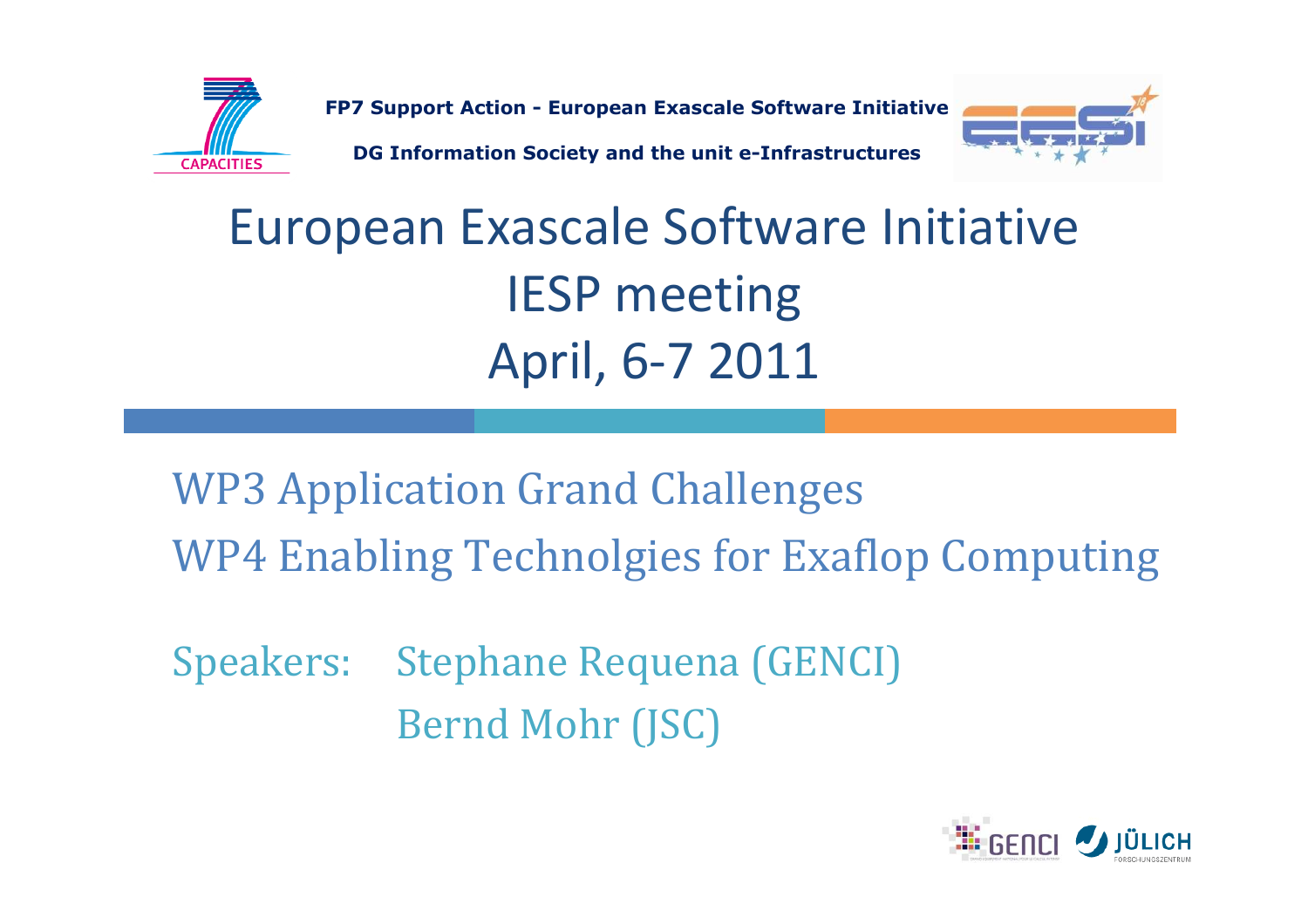

FP7 Support Action - European Exascale Software Initiative

DG Information Society and the unit e-Infrastructures



### European Exascale Software Initiative IESP meetingApril, 6-7 2011

WP3 Application Grand ChallengesWP4 Enabling Technolgies for Exaflop Computing

Speakers: Stephane Requena (GENCI) Bernd Mohr (JSC)

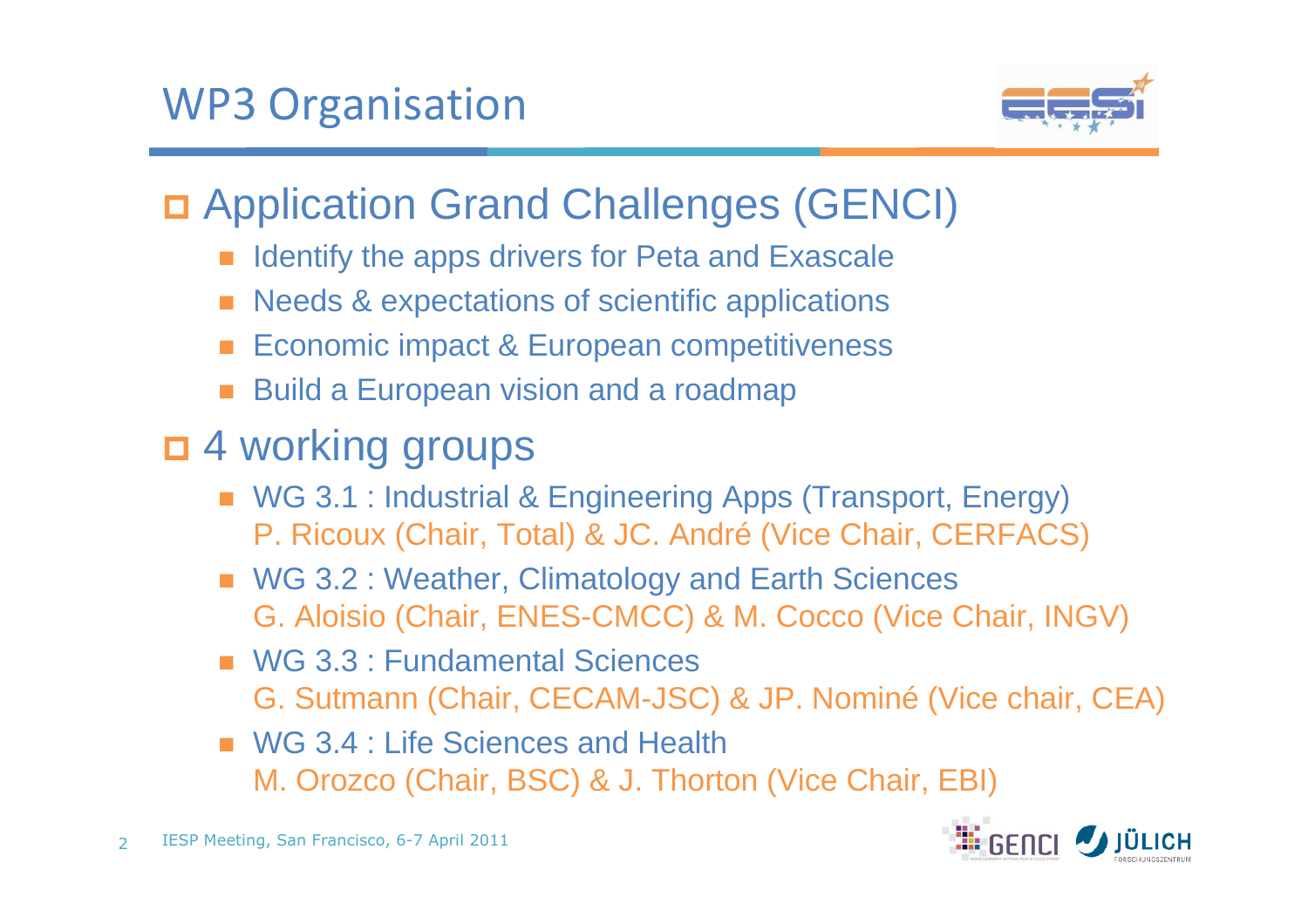

# Application Grand Challenges (GENCI)

- Identify the apps drivers for Peta and Exascale
- Needs & expectations of scientific applications
- Economic impact & European competitiveness
- Build a European vision and a roadmap
- □ 4 working groups
	- WG 3.1 : Industrial & Engineering Apps (Transport, Energy) P. Ricoux (Chair, Total) & JC. André (Vice Chair, CERFACS)
	- WG 3.2 : Weather, Climatology and Earth Sciences G. Aloisio (Chair, ENES-CMCC) & M. Cocco (Vice Chair, INGV)
	- WG 3.3 : Fundamental Sciences G. Sutmann (Chair, CECAM-JSC) & JP. Nominé (Vice chair, CEA)
	- WG 3.4 : Life Sciences and Health M. Orozco (Chair, BSC) & J. Thorton (Vice Chair, EBI)

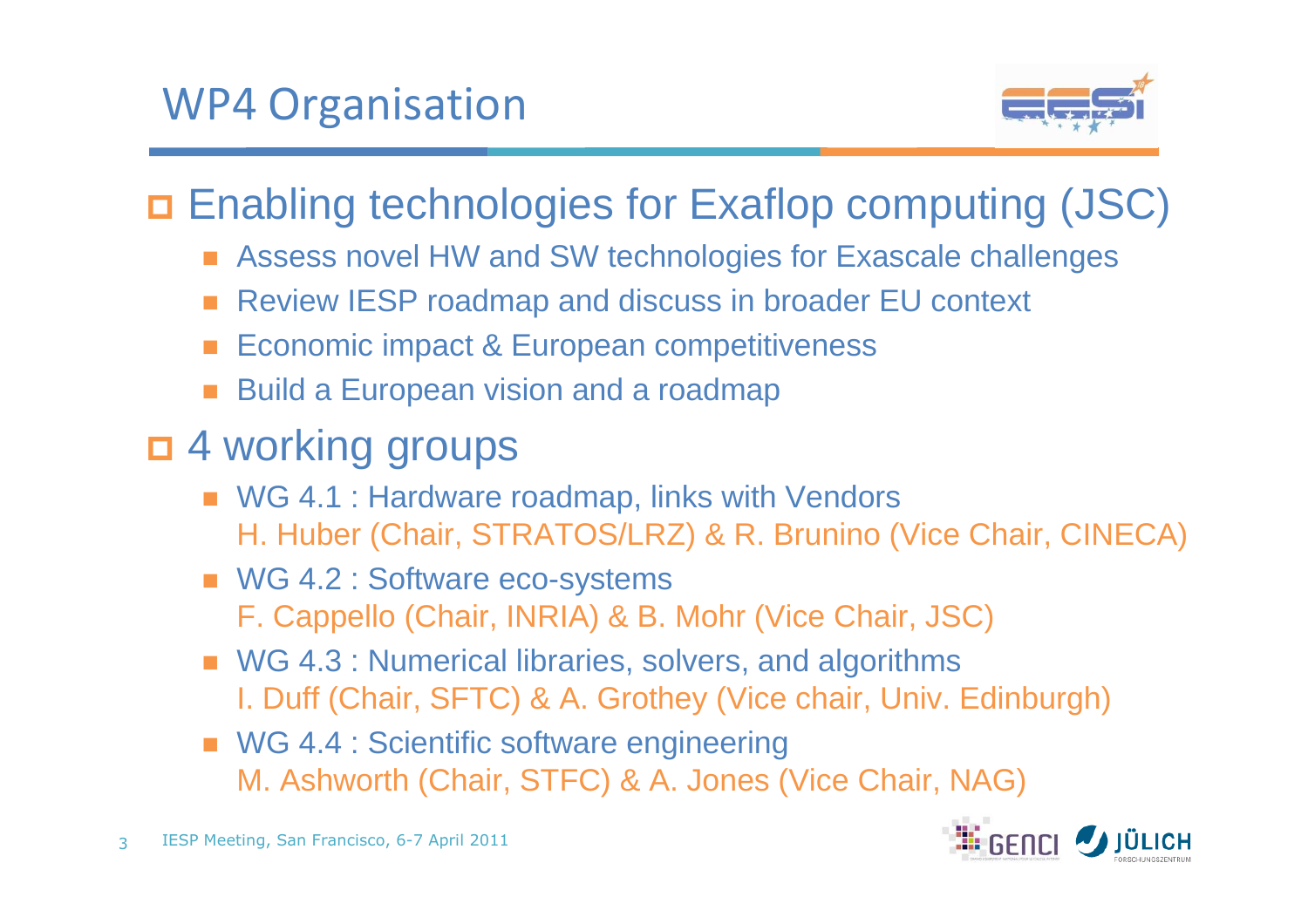

Enabling technologies for Exaflop computing (JSC)

- Assess novel HW and SW technologies for Exascale challenges
- Review IESP roadmap and discuss in broader EU context
- Economic impact & European competitiveness
- Build a European vision and a roadmap
- □ 4 working groups
	- WG 4.1 : Hardware roadmap, links with Vendors H. Huber (Chair, STRATOS/LRZ) & R. Brunino (Vice Chair, CINECA)
	- WG 4.2 : Software eco-systems F. Cappello (Chair, INRIA) & B. Mohr (Vice Chair, JSC)
	- WG 4.3 : Numerical libraries, solvers, and algorithms I. Duff (Chair, SFTC) & A. Grothey (Vice chair, Univ. Edinburgh)
	- WG 4.4 : Scientific software engineering M. Ashworth (Chair, STFC) & A. Jones (Vice Chair, NAG)

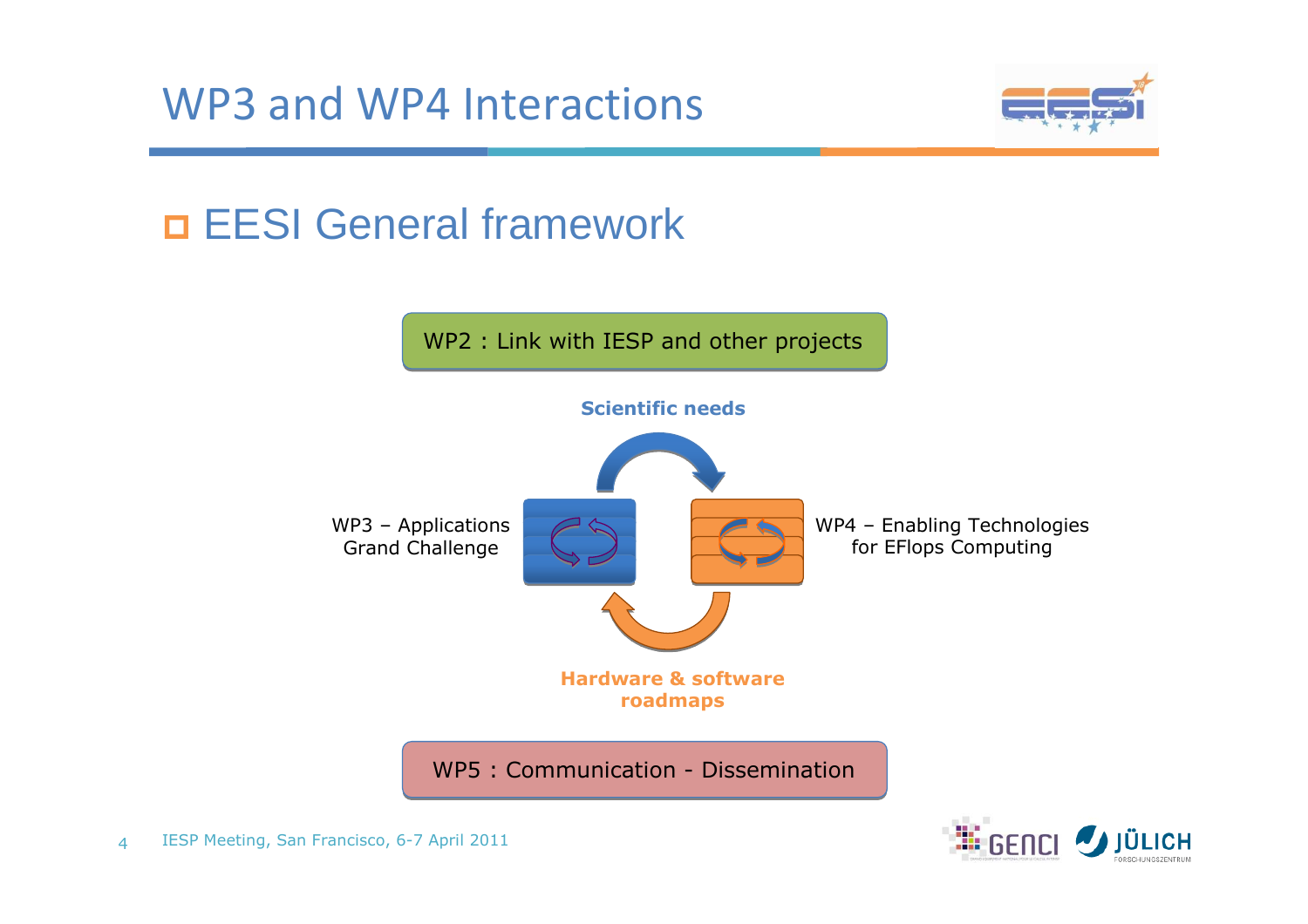

# EESI General framework



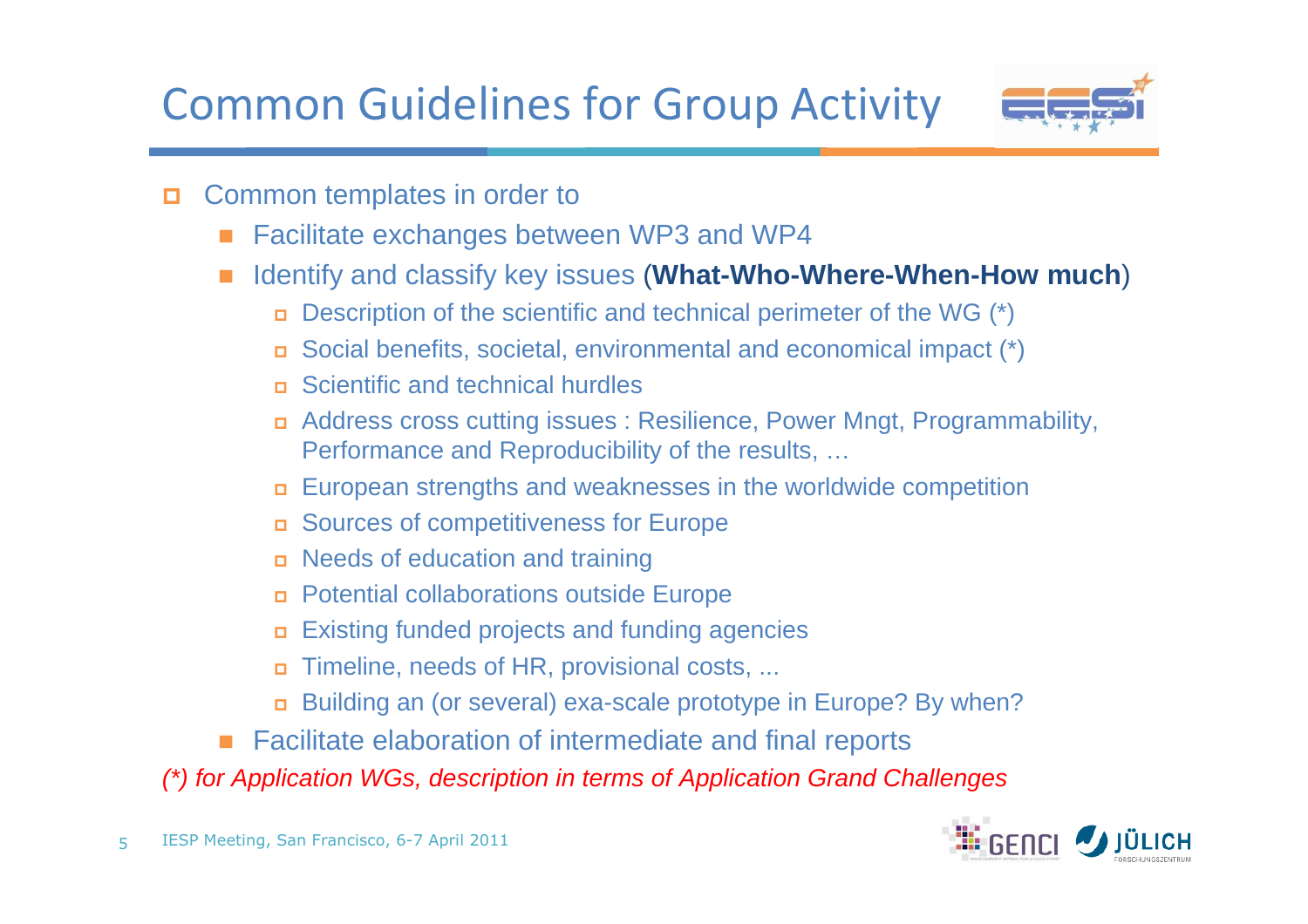Common Guidelines for Group Activity



- $\Box$  Common templates in order to
	- -Facilitate exchanges between WP3 and WP4
	- Identify and classify key issues (**What-Who-Where-When-How much**)
		- Description of the scientific and technical perimeter of the WG (\*)
		- Social benefits, societal, environmental and economical impact (\*)
		- Scientific and technical hurdles
		- Address cross cutting issues : Resilience, Power Mngt, Programmability, Performance and Reproducibility of the results, …
		- European strengths and weaknesses in the worldwide competition
		- Sources of competitiveness for Europe
		- Needs of education and training
		- Potential collaborations outside Europe
		- Existing funded projects and funding agencies
		- $\Box$ Timeline, needs of HR, provisional costs, ...
		- Building an (or several) exa-scale prototype in Europe? By when?
	- Facilitate elaboration of intermediate and final reports

(\*) for Application WGs, description in terms of Application Grand Challenges

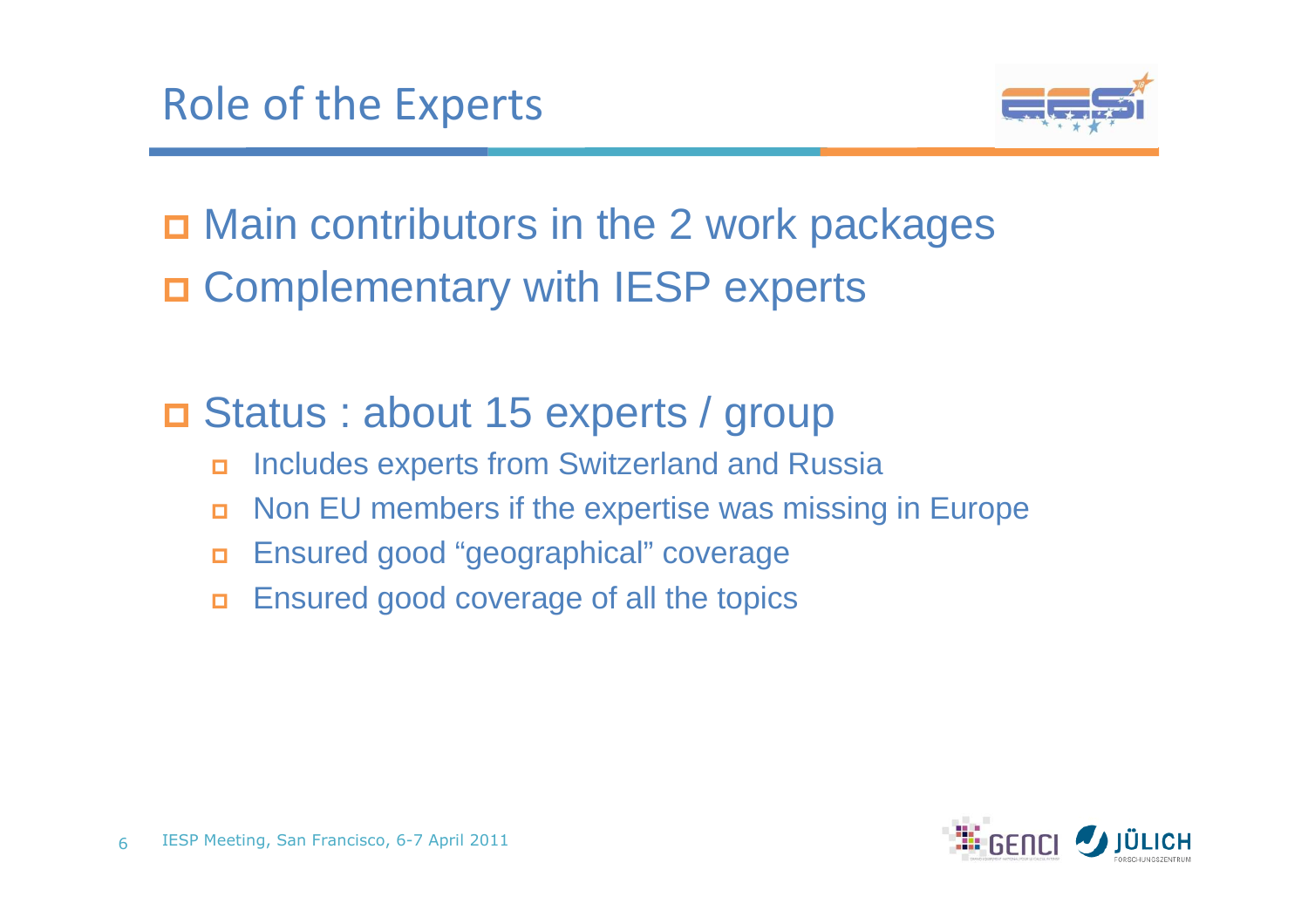

□ Main contributors in the 2 work packages Complementary with IESP experts

□ Status : about 15 experts / group

- $\Box$ Includes experts from Switzerland and Russia
- $\Box$ Non EU members if the expertise was missing in Europe
- $\Box$ Ensured good "geographical" coverage
- $\Box$ Ensured good coverage of all the topics

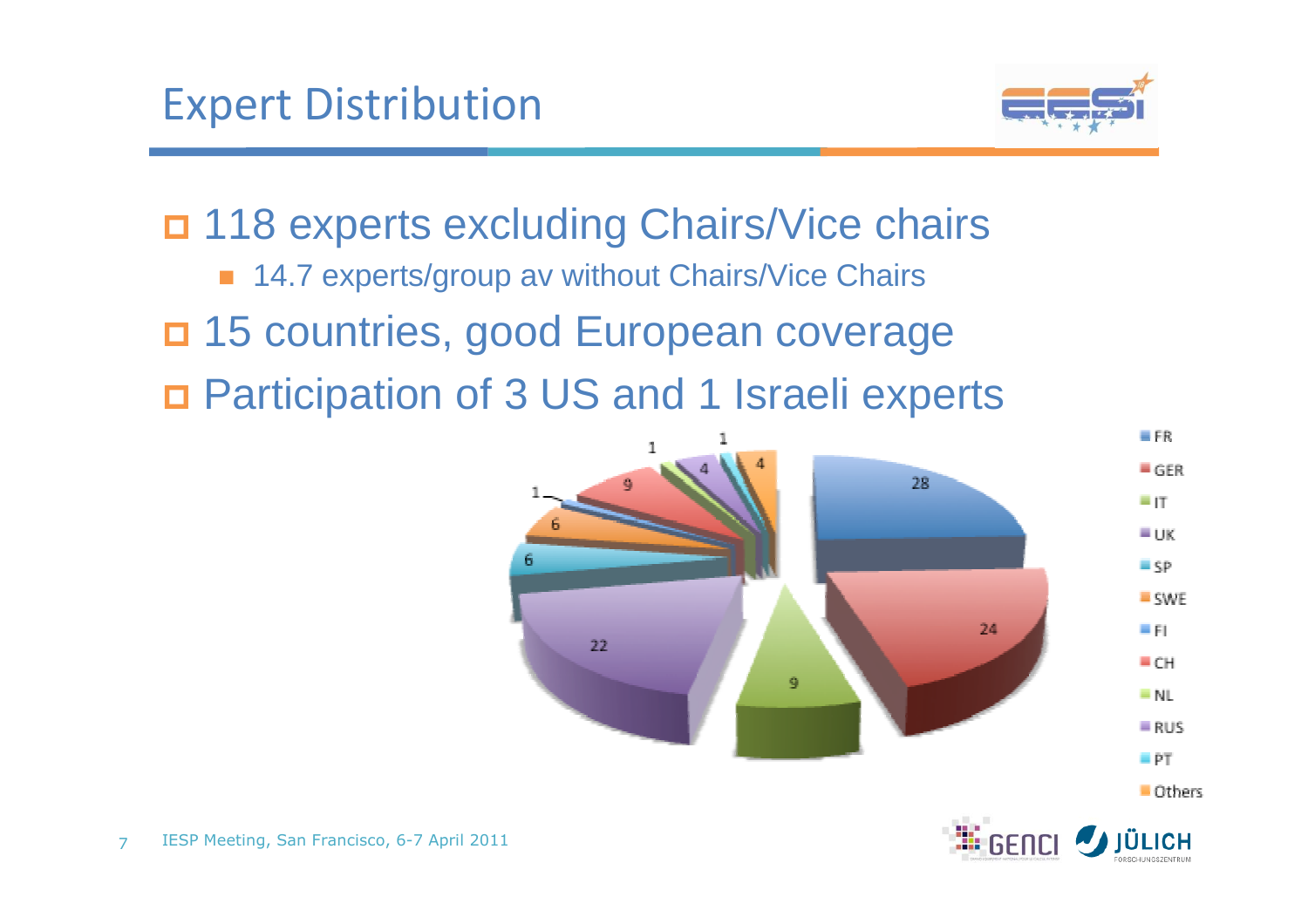

n 118 experts excluding Chairs/Vice chairs ■ 14.7 experts/group av without Chairs/Vice Chairs 15 countries, good European coverage Participation of 3 US and 1 Israeli experts

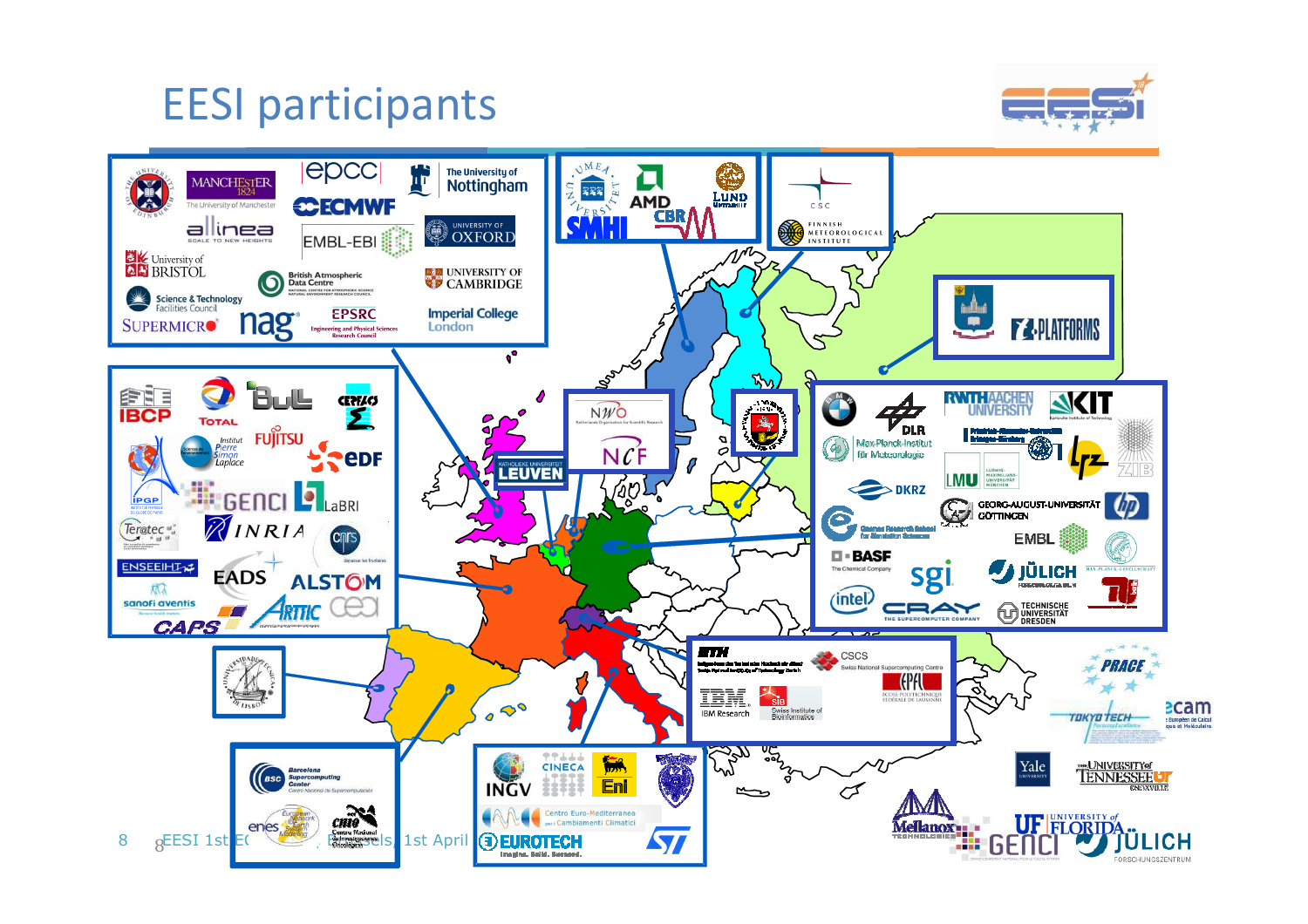### EESI participants



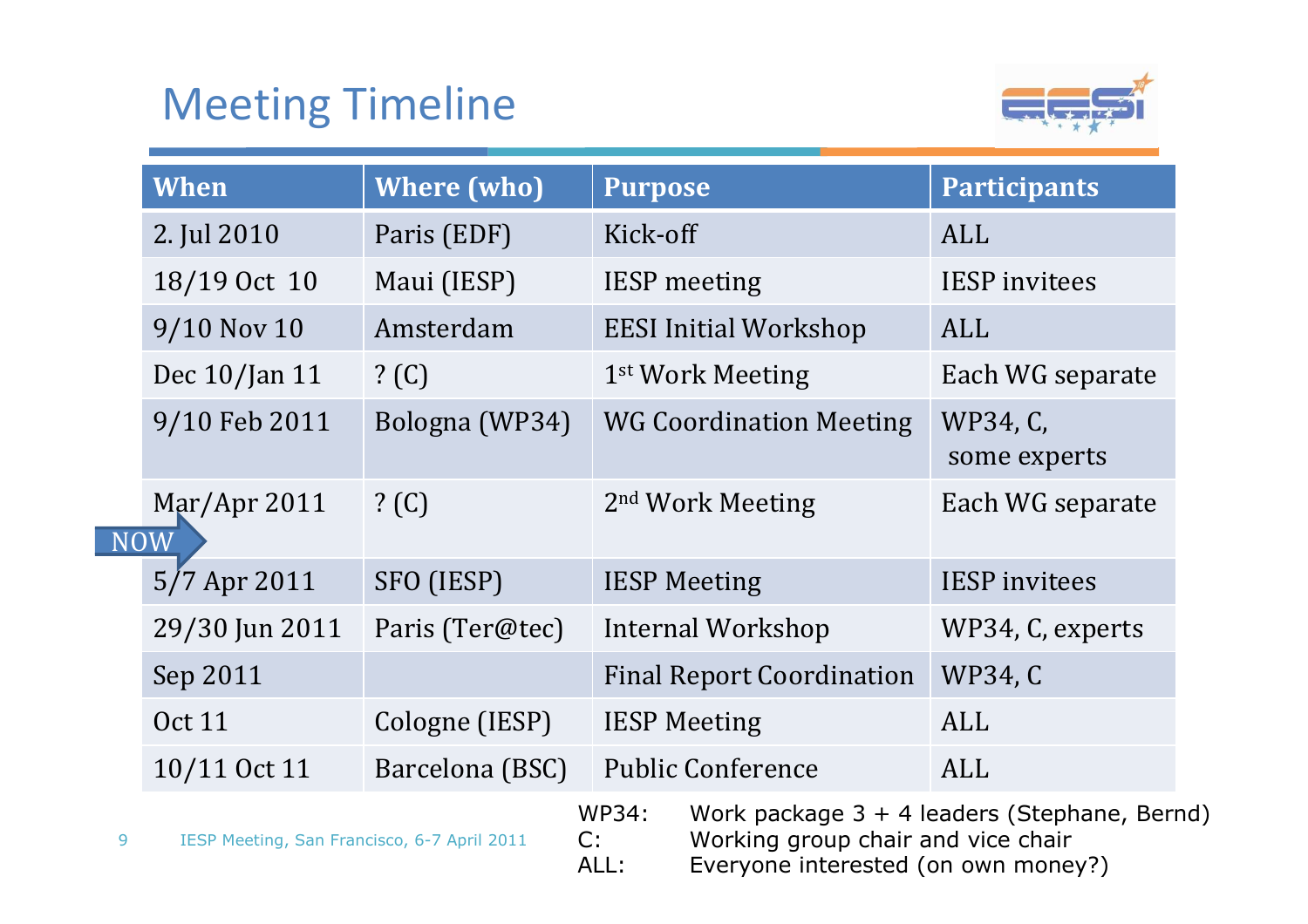### Meeting Timeline

 $\overline{N}$ 



|   | When                                        | <b>Where (who)</b> | <b>Purpose</b>                   |                                                                                                                             | <b>Participants</b>      |
|---|---------------------------------------------|--------------------|----------------------------------|-----------------------------------------------------------------------------------------------------------------------------|--------------------------|
|   | 2. Jul 2010                                 | Paris (EDF)        | Kick-off                         |                                                                                                                             | <b>ALL</b>               |
|   | 18/19 Oct 10                                | Maui (IESP)        |                                  | <b>IESP</b> meeting                                                                                                         | <b>IESP</b> invitees     |
|   | $9/10$ Nov 10                               | Amsterdam          |                                  | <b>EESI Initial Workshop</b>                                                                                                | ALL                      |
|   | Dec 10/Jan 11                               | ? (C)              |                                  | 1 <sup>st</sup> Work Meeting                                                                                                | Each WG separate         |
|   | 9/10 Feb 2011                               | Bologna (WP34)     |                                  | <b>WG Coordination Meeting</b>                                                                                              | WP34, C,<br>some experts |
|   | $\text{Mar/Apr } 2011$<br><b>NOW</b>        | ? (C)              |                                  | 2 <sup>nd</sup> Work Meeting                                                                                                | Each WG separate         |
|   | $5/7$ Apr 2011                              | SFO (IESP)         |                                  | <b>IESP Meeting</b>                                                                                                         | <b>IESP</b> invitees     |
|   | 29/30 Jun 2011                              | Paris (Ter@tec)    | Internal Workshop                |                                                                                                                             | WP34, C, experts         |
|   | Sep 2011                                    |                    | <b>Final Report Coordination</b> |                                                                                                                             | <b>WP34, C</b>           |
|   | <b>Oct 11</b>                               | Cologne (IESP)     | <b>IESP Meeting</b>              |                                                                                                                             | ALL                      |
|   | 10/11 Oct 11                                | Barcelona (BSC)    |                                  | <b>Public Conference</b>                                                                                                    | ALL                      |
| 9 | IESP Meeting, San Francisco, 6-7 April 2011 |                    | WP34:<br>C:<br>ALL:              | Work package $3 + 4$ leaders (Stephane, Bernd)<br>Working group chair and vice chair<br>Everyone interested (on own money?) |                          |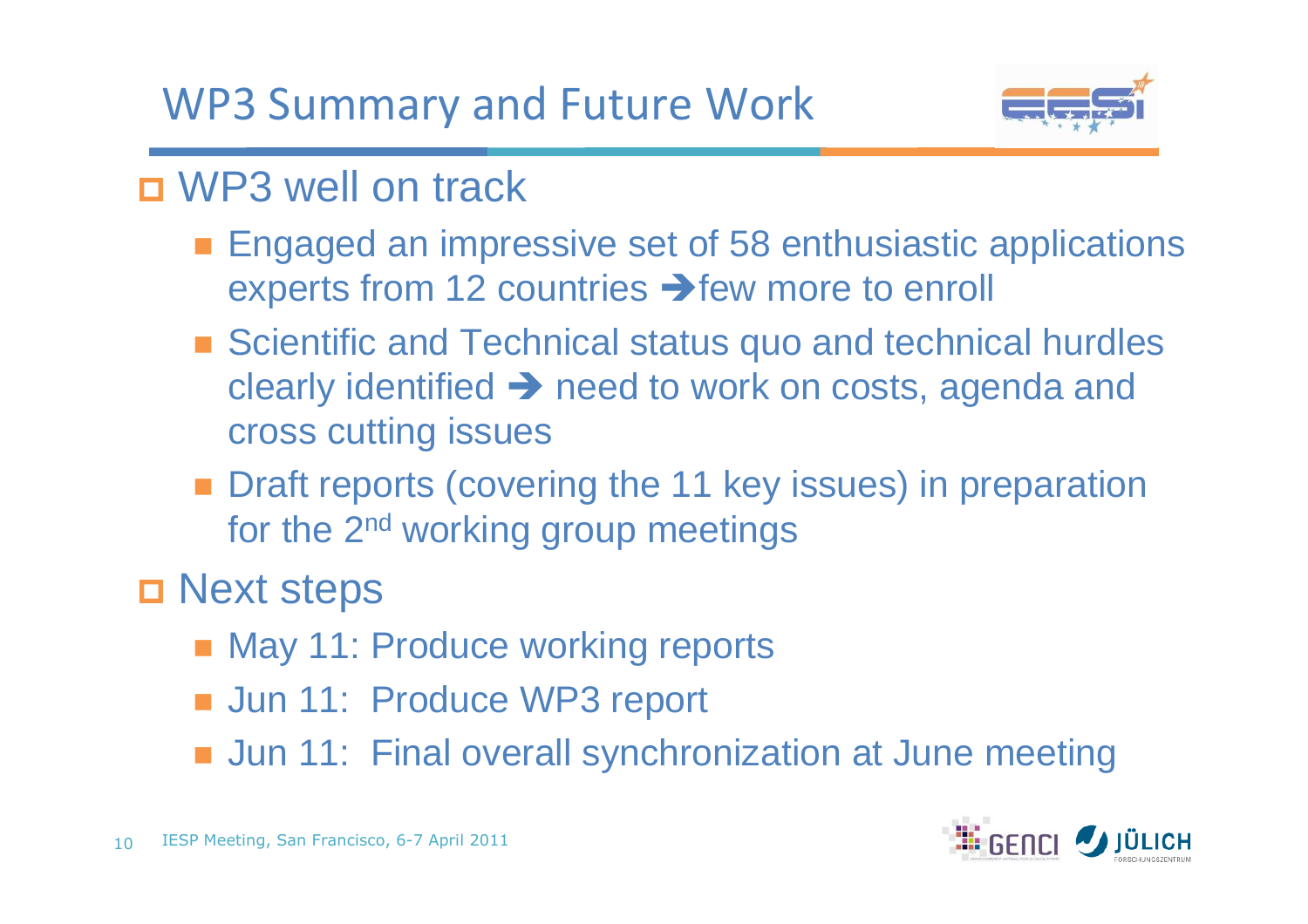WP3 Summary and Future Work



## ■ WP3 well on track

- **Engaged an impressive set of 58 enthusiastic applications** experts from 12 countries  $\rightarrow$  few more to enroll
- Scientific and Technical status quo and technical hurdles clearly identified  $\rightarrow$  need to work on costs, agenda and<br>cross cutting issues cross cutting issues
- **Draft reports (covering the 11 key issues) in preparation** for the 2<sup>nd</sup> working group meetings
- □ Next steps
	- May 11: Produce working reports
	- Jun 11: Produce WP3 report
	- Jun 11: Final overall synchronization at June meeting

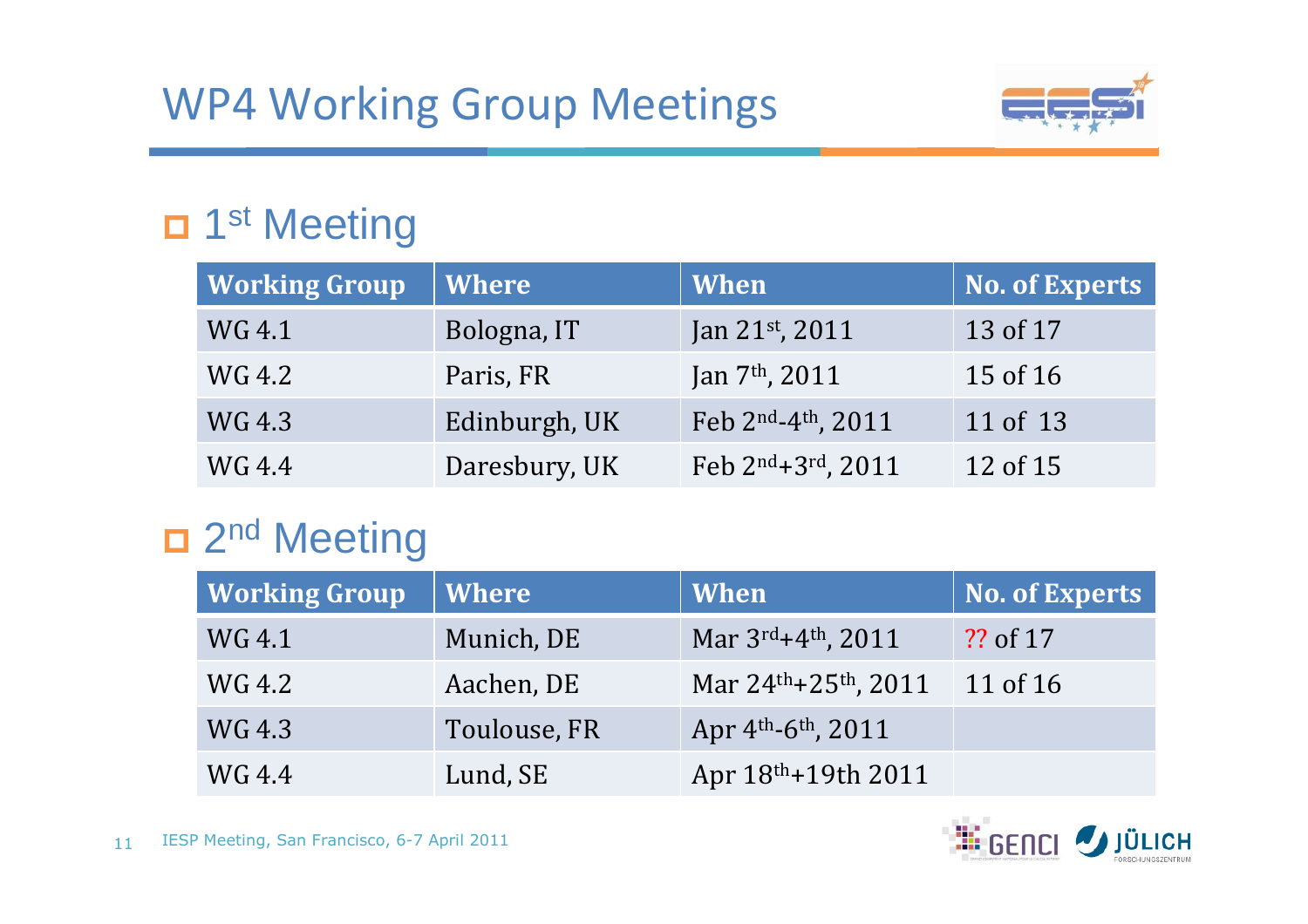

## □ 1<sup>st</sup> Meeting

| <b>Working Group</b> | Where         | When                       | <b>No. of Experts</b> |
|----------------------|---------------|----------------------------|-----------------------|
| WG 4.1               | Bologna, IT   | Jan 21st, 2011             | 13 of 17              |
| WG 4.2               | Paris, FR     | Jan 7 <sup>th</sup> , 2011 | 15 of 16              |
| WG 4.3               | Edinburgh, UK | Feb 2nd-4th, 2011          | 11 of 13              |
| WG 4.4               | Daresbury, UK | Feb 2nd+3rd, 2011          | 12 of 15              |

## □ 2<sup>nd</sup> Meeting

| <b>Working Group</b> | <b>Where</b> | <b>When</b>                                     | No. of Experts |
|----------------------|--------------|-------------------------------------------------|----------------|
| WG 4.1               | Munich, DE   | Mar 3rd+4th, 2011                               | ?? of 17       |
| WG 4.2               | Aachen, DE   | Mar $24$ <sup>th</sup> +25 <sup>th</sup> , 2011 | 11 of 16       |
| WG 4.3               | Toulouse, FR | Apr 4th-6th, 2011                               |                |
| WG 4.4               | Lund, SE     | Apr 18th+19th 2011                              |                |

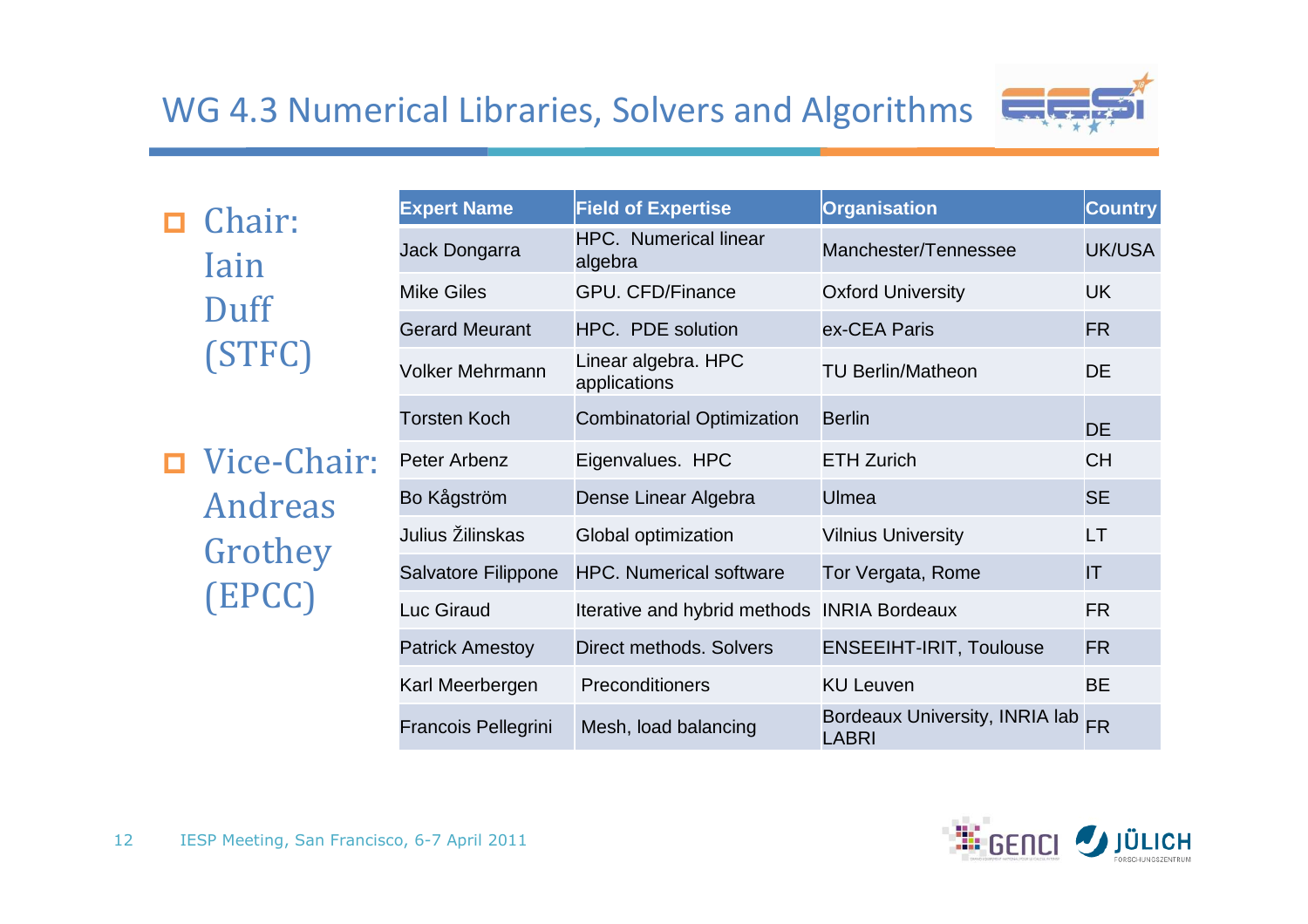#### WG 4.3 Numerical Libraries, Solvers and Algorithms



**□** Chair: Iain Duff(STFC)

 Vice-Chair: Andreas Grothey(EPCC)

| <b>Expert Name</b>     | <b>Field of Expertise</b>                   | <b>Organisation</b>                            | <b>Country</b> |
|------------------------|---------------------------------------------|------------------------------------------------|----------------|
| Jack Dongarra          | <b>HPC.</b> Numerical linear<br>algebra     | Manchester/Tennessee                           | UK/USA         |
| Mike Giles             | <b>GPU. CFD/Finance</b>                     | <b>Oxford University</b>                       | <b>UK</b>      |
| <b>Gerard Meurant</b>  | <b>HPC. PDE solution</b>                    | ex-CEA Paris                                   | <b>FR</b>      |
| Volker Mehrmann        | Linear algebra. HPC<br>applications         | <b>TU Berlin/Matheon</b>                       | DE             |
| <b>Torsten Koch</b>    | <b>Combinatorial Optimization</b>           | <b>Berlin</b>                                  | <b>DE</b>      |
| Peter Arbenz           | Eigenvalues. HPC                            | <b>ETH Zurich</b>                              | <b>CH</b>      |
| Bo Kågström            | Dense Linear Algebra                        | Ulmea                                          | <b>SE</b>      |
| Julius Žilinskas       | Global optimization                         | <b>Vilnius University</b>                      | LT             |
| Salvatore Filippone    | <b>HPC. Numerical software</b>              | Tor Vergata, Rome                              | IT             |
| Luc Giraud             | Iterative and hybrid methods INRIA Bordeaux |                                                | <b>FR</b>      |
| <b>Patrick Amestoy</b> | Direct methods. Solvers                     | <b>ENSEEIHT-IRIT, Toulouse</b>                 | <b>FR</b>      |
| Karl Meerbergen        | Preconditioners                             | <b>KU Leuven</b>                               | <b>BE</b>      |
| Francois Pellegrini    | Mesh, load balancing                        | Bordeaux University, INRIA lab<br><b>LABRI</b> | <b>FR</b>      |

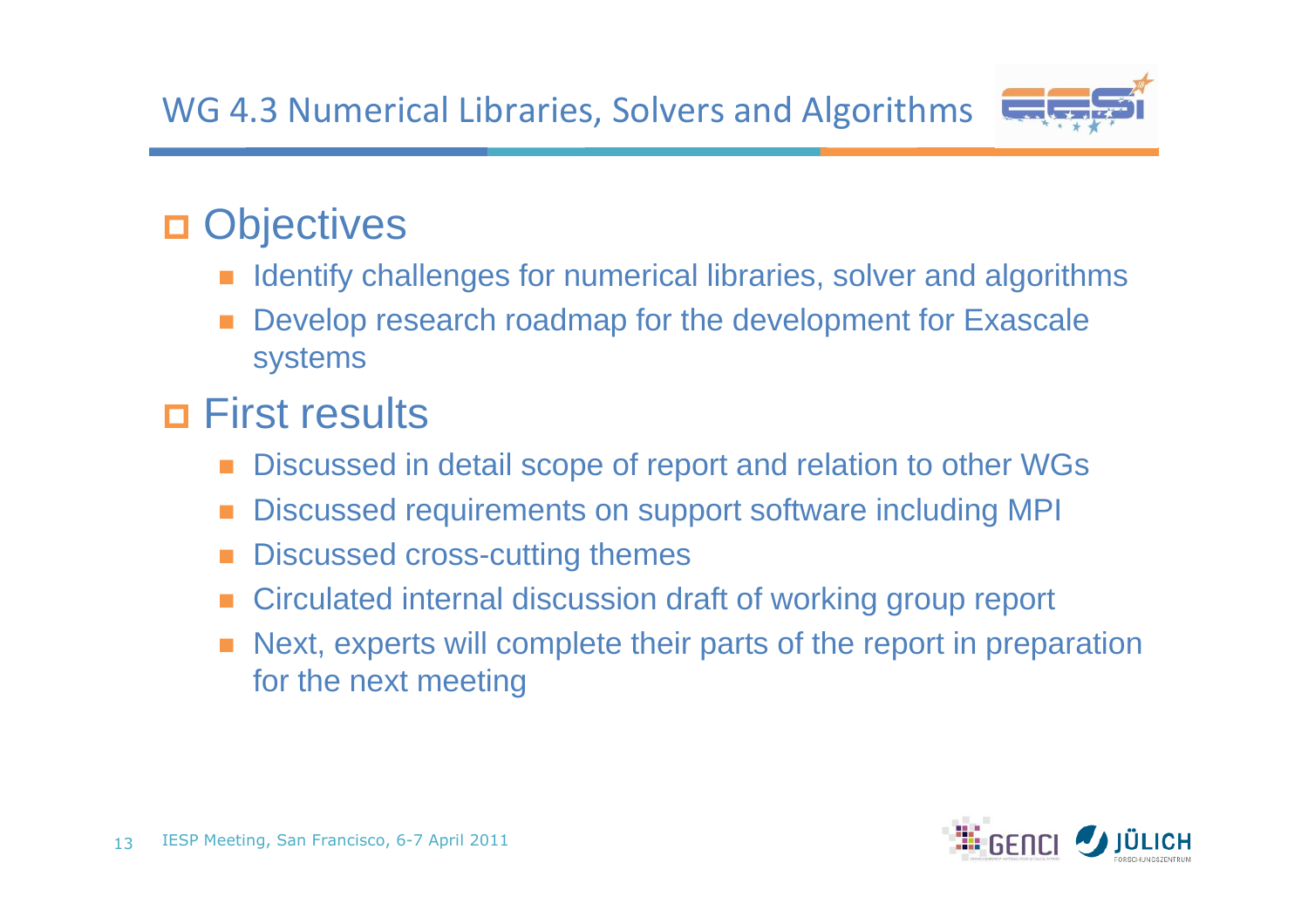

## **Objectives**

- Identify challenges for numerical libraries, solver and algorithms
- Develop research roadmap for the development for Exascale systems

## First results

- -Discussed in detail scope of report and relation to other WGs
- Discussed requirements on support software including MPI
- Discussed cross-cutting themes
- Circulated internal discussion draft of working group report
- Next, experts will complete their parts of the report in preparation for the next meeting

![](_page_12_Picture_11.jpeg)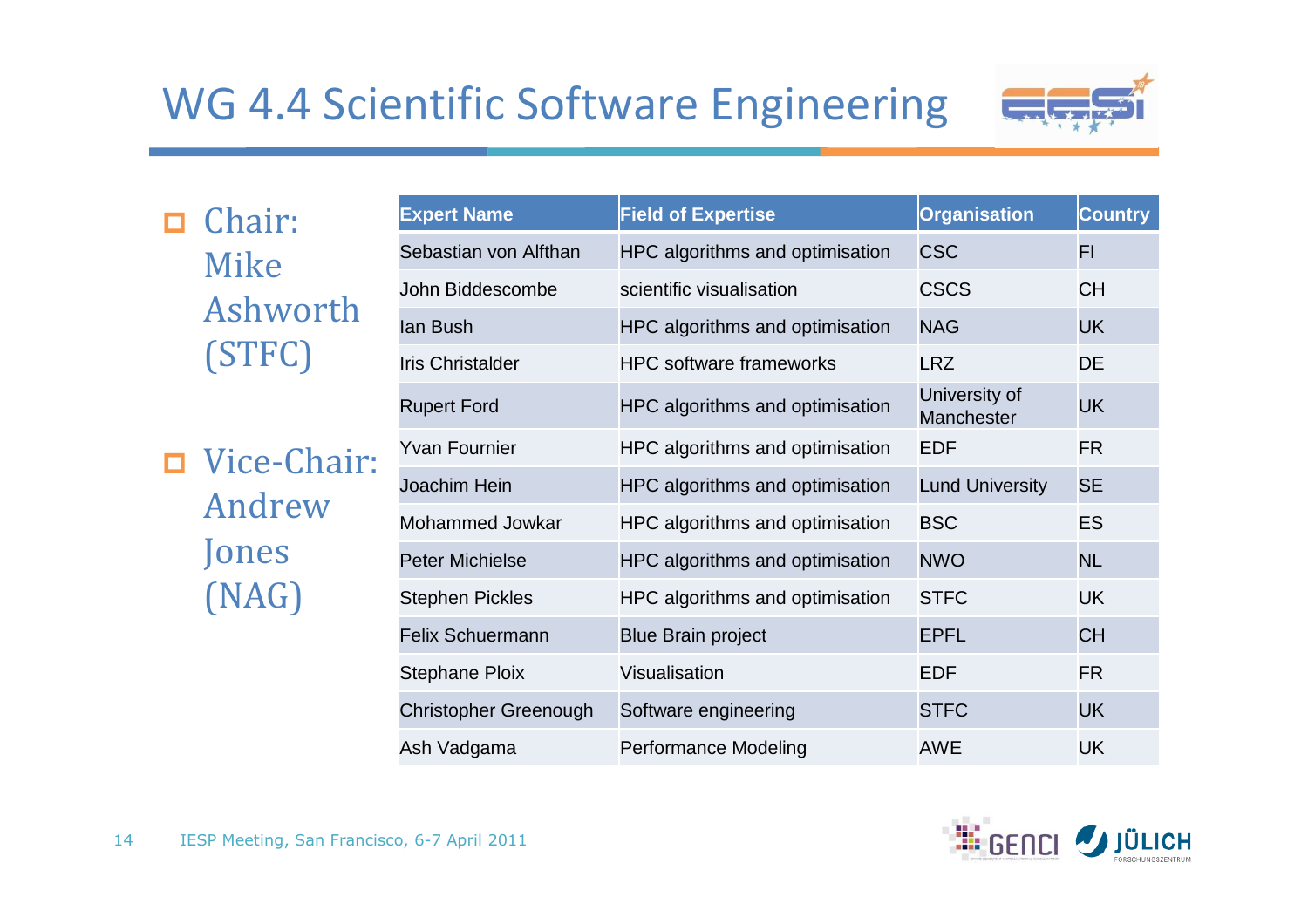### WG 4.4 Scientific Software Engineering

![](_page_13_Picture_1.jpeg)

D Chair: Mike Ashworth(STFC)

 Vice-Chair: AndrewJones(NAG)

| <b>Expert Name</b>           | <b>Field of Expertise</b>       | <b>Organisation</b>         | <b>Country</b> |
|------------------------------|---------------------------------|-----------------------------|----------------|
| Sebastian von Alfthan        | HPC algorithms and optimisation | <b>CSC</b>                  | FI             |
| John Biddescombe             | scientific visualisation        | <b>CSCS</b>                 | <b>CH</b>      |
| lan Bush                     | HPC algorithms and optimisation | <b>NAG</b>                  | <b>UK</b>      |
| <b>Iris Christalder</b>      | <b>HPC</b> software frameworks  | <b>LRZ</b>                  | <b>DE</b>      |
| <b>Rupert Ford</b>           | HPC algorithms and optimisation | University of<br>Manchester | <b>UK</b>      |
| <b>Yvan Fournier</b>         | HPC algorithms and optimisation | <b>EDF</b>                  | <b>FR</b>      |
| Joachim Hein                 | HPC algorithms and optimisation | <b>Lund University</b>      | <b>SE</b>      |
| Mohammed Jowkar              | HPC algorithms and optimisation | <b>BSC</b>                  | <b>ES</b>      |
| <b>Peter Michielse</b>       | HPC algorithms and optimisation | <b>NWO</b>                  | <b>NL</b>      |
| <b>Stephen Pickles</b>       | HPC algorithms and optimisation | <b>STFC</b>                 | UK             |
| <b>Felix Schuermann</b>      | <b>Blue Brain project</b>       | <b>EPFL</b>                 | <b>CH</b>      |
| <b>Stephane Ploix</b>        | Visualisation                   | <b>EDF</b>                  | FR.            |
| <b>Christopher Greenough</b> | Software engineering            | <b>STFC</b>                 | <b>UK</b>      |
| Ash Vadgama                  | Performance Modeling            | <b>AWE</b>                  | UK             |

![](_page_13_Picture_5.jpeg)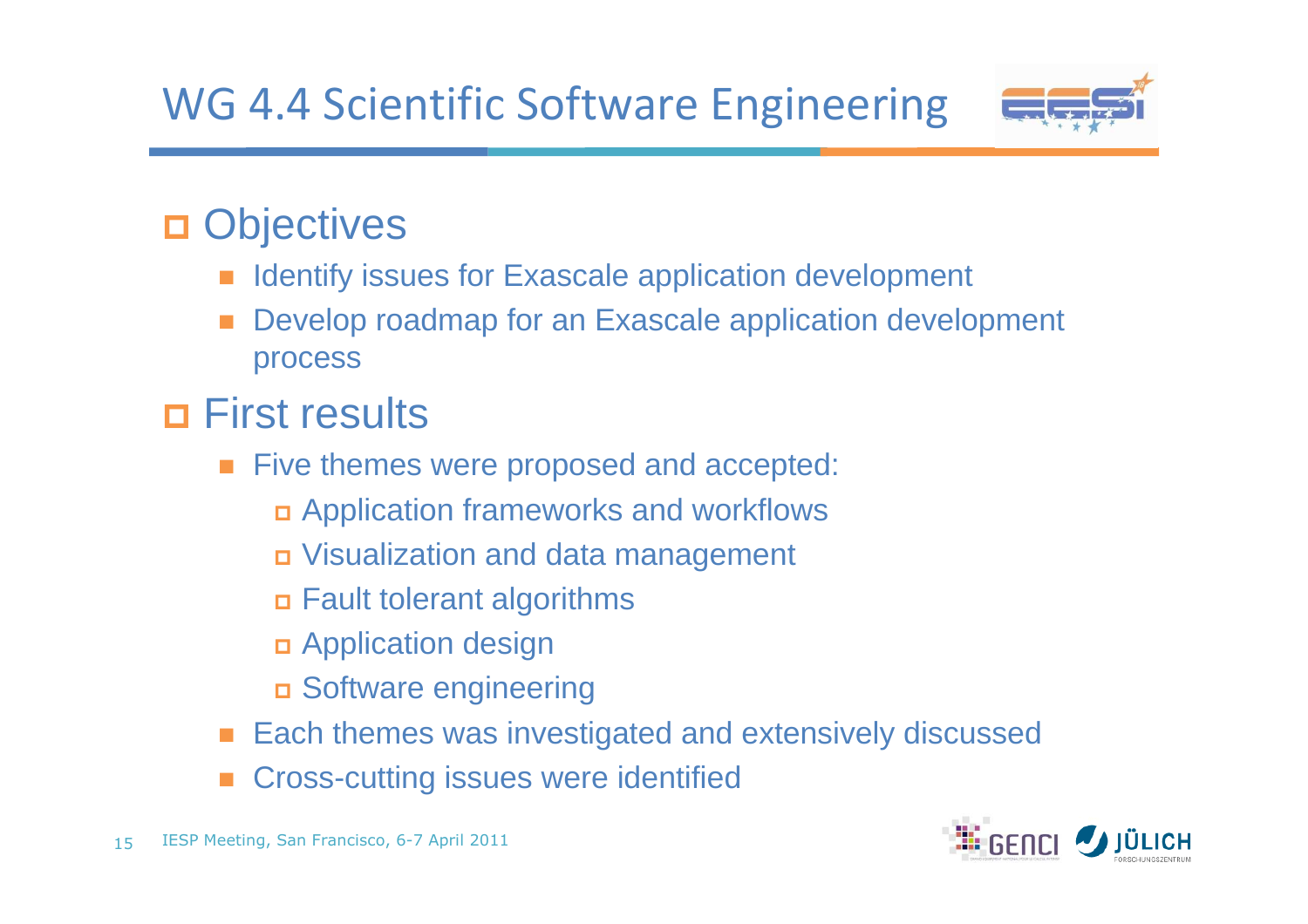### WG 4.4 Scientific Software Engineering

![](_page_14_Picture_1.jpeg)

## **Objectives**

- Identify issues for Exascale application development
- Develop roadmap for an Exascale application development process

## First results

- Five themes were proposed and accepted:
	- Application frameworks and workflows
	- Visualization and data management
	- Fault tolerant algorithms
	- Application design
	- Software engineering
- -Each themes was investigated and extensively discussed
- Cross-cutting issues were identified

![](_page_14_Picture_14.jpeg)